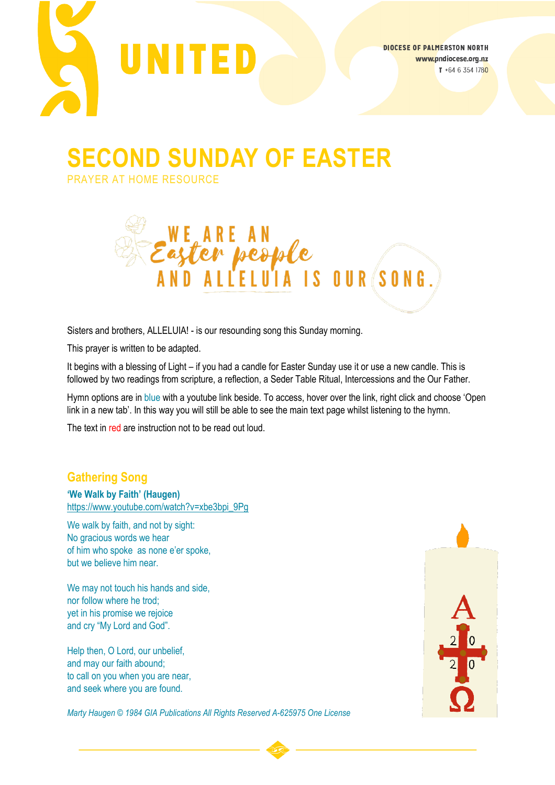

**SECOND SUNDAY OF EASTER**

PRAYER AT HOME RESOURCE



Sisters and brothers, ALLELUIA! - is our resounding song this Sunday morning.

This prayer is written to be adapted.

It begins with a blessing of Light – if you had a candle for Easter Sunday use it or use a new candle. This is followed by two readings from scripture, a reflection, a Seder Table Ritual, Intercessions and the Our Father.

Hymn options are in blue with a youtube link beside. To access, hover over the link, right click and choose 'Open link in a new tab'. In this way you will still be able to see the main text page whilst listening to the hymn.

The text in red are instruction not to be read out loud.

# **Gathering Song**

**'We Walk by Faith' (Haugen)** [https://www.youtube.com/watch?v=xbe3bpi\\_9Pg](https://www.youtube.com/watch?v=xbe3bpi_9Pg)

We walk by faith, and not by sight: No gracious words we hear of him who spoke as none e'er spoke, but we believe him near.

We may not touch his hands and side, nor follow where he trod; yet in his promise we rejoice and cry "My Lord and God".

Help then, O Lord, our unbelief, and may our faith abound; to call on you when you are near, and seek where you are found.



*Marty Haugen © 1984 GIA Publications All Rights Reserved A-625975 One License*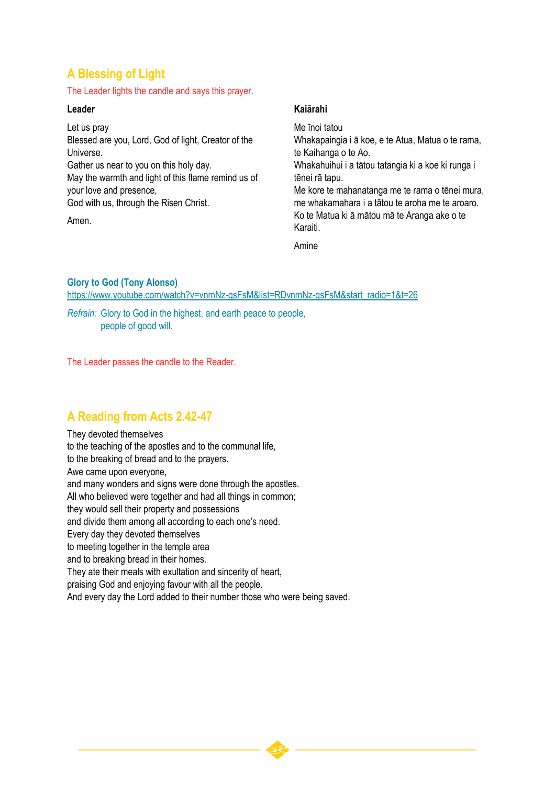# **A Blessing of Light**

#### The Leader lights the candle and says this prayer.

#### **Leader**

Let us pray Blessed are you, Lord, God of light, Creator of the Universe. Gather us near to you on this holy day. May the warmth and light of this flame remind us of your love and presence, God with us, through the Risen Christ. Amen.

### **Kaiārahi**

Me īnoi tatou Whakapaingia i ā koe, e te Atua, Matua o te rama, te Kaihanga o te Ao. Whakahuihui i a tātou tatangia ki a koe ki runga i tēnei rā tapu. Me kore te mahanatanga me te rama o tēnei mura, me whakamahara i a tātou te aroha me te aroaro. Ko te Matua ki ā mātou mā te Aranga ake o te Karaiti.

Amine

### **Glory to God (Tony Alonso)**

[https://www.youtube.com/watch?v=vnmNz-gsFsM&list=RDvnmNz-gsFsM&start\\_radio=1&t=26](https://www.youtube.com/watch?v=vnmNz-gsFsM&list=RDvnmNz-gsFsM&start_radio=1&t=26)

*Refrain:* Glory to God in the highest, and earth peace to people, people of good will.

The Leader passes the candle to the Reader.

# **A Reading from Acts 2.42-47**

They devoted themselves to the teaching of the apostles and to the communal life, to the breaking of bread and to the prayers. Awe came upon everyone, and many wonders and signs were done through the apostles. All who believed were together and had all things in common; they would sell their property and possessions and divide them among all according to each one's need. Every day they devoted themselves to meeting together in the temple area and to breaking bread in their homes. They ate their meals with exultation and sincerity of heart, praising God and enjoying favour with all the people.

And every day the Lord added to their number those who were being saved.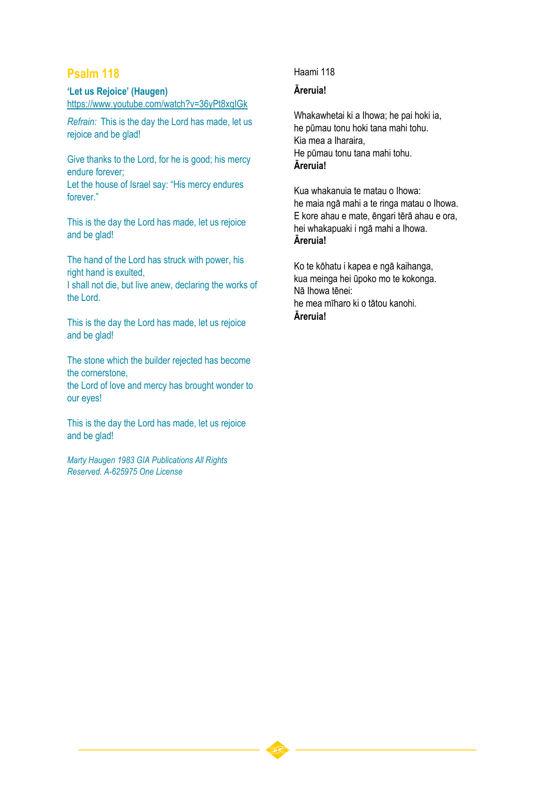# **Psalm 118**

#### **'Let us Rejoice' (Haugen)** <https://www.youtube.com/watch?v=36yPt8xqIGk>

*Refrain:* This is the day the Lord has made, let us rejoice and be glad!

Give thanks to the Lord, for he is good; his mercy endure forever;

Let the house of Israel say: "His mercy endures forever."

This is the day the Lord has made, let us rejoice and be glad!

The hand of the Lord has struck with power, his right hand is exulted,

I shall not die, but live anew, declaring the works of the Lord.

This is the day the Lord has made, let us rejoice and be glad!

The stone which the builder rejected has become the cornerstone, the Lord of love and mercy has brought wonder to our eyes!

This is the day the Lord has made, let us rejoice and be glad!

*Marty Haugen 1983 GIA Publications All Rights Reserved. A-625975 One License*

### Haami 118

### **Āreruia!**

Whakawhetai ki a Ihowa; he pai hoki ia, he pūmau tonu hoki tana mahi tohu. Kia mea a Iharaira, He pūmau tonu tana mahi tohu. **Āreruia!**

Kua whakanuia te matau o Ihowa: he maia ngā mahi a te ringa matau o Ihowa. E kore ahau e mate, ēngari tērā ahau e ora, hei whakapuaki i ngā mahi a Ihowa. **Āreruia!**

Ko te kōhatu i kapea e ngā kaihanga, kua meinga hei ūpoko mo te kokonga. Nā Ihowa tēnei: he mea mīharo ki o tātou kanohi. **Āreruia!**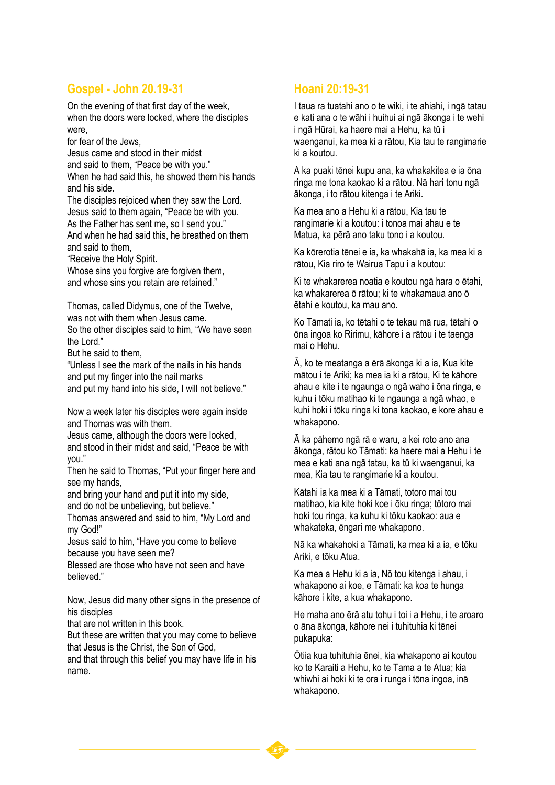## **Gospel - John 20.19-31**

On the evening of that first day of the week, when the doors were locked, where the disciples were,

for fear of the Jews,

Jesus came and stood in their midst and said to them, "Peace be with you." When he had said this, he showed them his hands and his side.

The disciples rejoiced when they saw the Lord. Jesus said to them again, "Peace be with you. As the Father has sent me, so I send you." And when he had said this, he breathed on them and said to them,

"Receive the Holy Spirit.

Whose sins you forgive are forgiven them, and whose sins you retain are retained."

Thomas, called Didymus, one of the Twelve, was not with them when Jesus came.

So the other disciples said to him, "We have seen the Lord."

But he said to them,

"Unless I see the mark of the nails in his hands and put my finger into the nail marks and put my hand into his side, I will not believe."

Now a week later his disciples were again inside and Thomas was with them.

Jesus came, although the doors were locked, and stood in their midst and said, "Peace be with you."

Then he said to Thomas, "Put your finger here and see my hands,

and bring your hand and put it into my side, and do not be unbelieving, but believe."

Thomas answered and said to him, "My Lord and my God!"

Jesus said to him, "Have you come to believe because you have seen me?

Blessed are those who have not seen and have believed."

Now, Jesus did many other signs in the presence of his disciples

that are not written in this book.

But these are written that you may come to believe that Jesus is the Christ, the Son of God,

and that through this belief you may have life in his name.

## **Hoani 20:19-31**

I taua ra tuatahi ano o te wiki, i te ahiahi, i ngā tatau e kati ana o te wāhi i huihui ai ngā ākonga i te wehi i ngā Hūrai, ka haere mai a Hehu, ka tū i waenganui, ka mea ki a rātou, Kia tau te rangimarie ki a koutou.

A ka puaki tēnei kupu ana, ka whakakitea e ia ōna ringa me tona kaokao ki a rātou. Nā hari tonu ngā ākonga, i to rātou kitenga i te Ariki.

Ka mea ano a Hehu ki a rātou, Kia tau te rangimarie ki a koutou: i tonoa mai ahau e te Matua, ka pērā ano taku tono i a koutou.

Ka kōrerotia tēnei e ia, ka whakahā ia, ka mea ki a rātou, Kia riro te Wairua Tapu i a koutou:

Ki te whakarerea noatia e koutou ngā hara o ētahi, ka whakarerea ō rātou; ki te whakamaua ano ō ētahi e koutou, ka mau ano.

Ko Tāmati ia, ko tētahi o te tekau mā rua, tētahi o ōna ingoa ko Ririmu, kāhore i a rātou i te taenga mai o Hehu.

Ā, ko te meatanga a ērā ākonga ki a ia, Kua kite mātou i te Ariki; ka mea ia ki a rātou, Ki te kāhore ahau e kite i te ngaunga o ngā waho i ōna ringa, e kuhu i tōku matihao ki te ngaunga a ngā whao, e kuhi hoki i tōku ringa ki tona kaokao, e kore ahau e whakapono.

Ā ka pāhemo ngā rā e waru, a kei roto ano ana ākonga, rātou ko Tāmati: ka haere mai a Hehu i te mea e kati ana ngā tatau, ka tū ki waenganui, ka mea, Kia tau te rangimarie ki a koutou.

Kātahi ia ka mea ki a Tāmati, totoro mai tou matihao, kia kite hoki koe i ōku ringa; tōtoro mai hoki tou ringa, ka kuhu ki tōku kaokao: aua e whakateka, ēngari me whakapono.

Nā ka whakahoki a Tāmati, ka mea ki a ia, e tōku Ariki, e tōku Atua.

Ka mea a Hehu ki a ia, Nō tou kitenga i ahau, i whakapono ai koe, e Tāmati: ka koa te hunga kāhore i kite, a kua whakapono.

He maha ano ērā atu tohu i toi i a Hehu, i te aroaro o āna ākonga, kāhore nei i tuhituhia ki tēnei pukapuka:

Ōtiia kua tuhituhia ēnei, kia whakapono ai koutou ko te Karaiti a Hehu, ko te Tama a te Atua; kia whiwhi ai hoki ki te ora i runga i tōna ingoa, inā whakapono.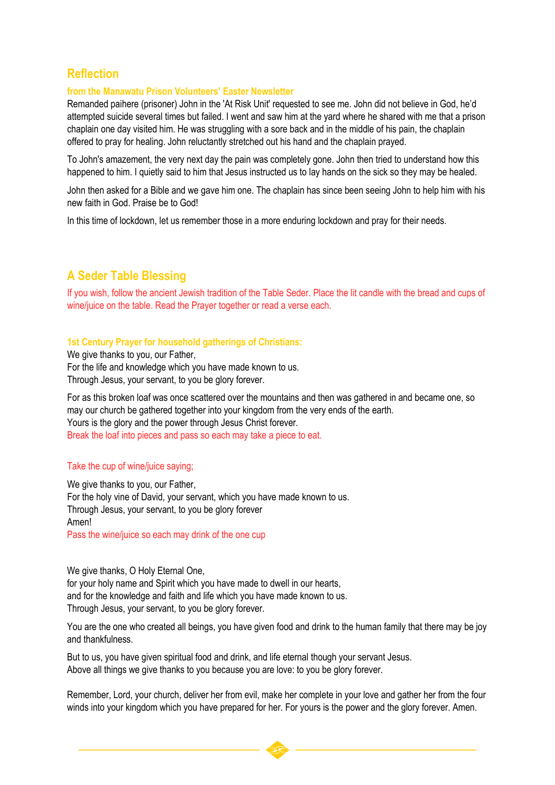# **Reflection**

#### **from the Manawatu Prison Volunteers' Easter Newsletter**

Remanded paihere (prisoner) John in the 'At Risk Unit' requested to see me. John did not believe in God, he'd attempted suicide several times but failed. I went and saw him at the yard where he shared with me that a prison chaplain one day visited him. He was struggling with a sore back and in the middle of his pain, the chaplain offered to pray for healing. John reluctantly stretched out his hand and the chaplain prayed.

To John's amazement, the very next day the pain was completely gone. John then tried to understand how this happened to him. I quietly said to him that Jesus instructed us to lay hands on the sick so they may be healed.

John then asked for a Bible and we gave him one. The chaplain has since been seeing John to help him with his new faith in God. Praise be to God!

In this time of lockdown, let us remember those in a more enduring lockdown and pray for their needs.

## **A Seder Table Blessing**

If you wish, follow the ancient Jewish tradition of the Table Seder. Place the lit candle with the bread and cups of wine/juice on the table. Read the Prayer together or read a verse each.

#### **1st Century Prayer for household gatherings of Christians:**

We give thanks to you, our Father, For the life and knowledge which you have made known to us. Through Jesus, your servant, to you be glory forever.

For as this broken loaf was once scattered over the mountains and then was gathered in and became one, so may our church be gathered together into your kingdom from the very ends of the earth. Yours is the glory and the power through Jesus Christ forever. Break the loaf into pieces and pass so each may take a piece to eat.

#### Take the cup of wine/juice saying;

We give thanks to you, our Father, For the holy vine of David, your servant, which you have made known to us. Through Jesus, your servant, to you be glory forever Amen! Pass the wine/juice so each may drink of the one cup

We give thanks, O Holy Eternal One, for your holy name and Spirit which you have made to dwell in our hearts, and for the knowledge and faith and life which you have made known to us. Through Jesus, your servant, to you be glory forever.

You are the one who created all beings, you have given food and drink to the human family that there may be joy and thankfulness.

But to us, you have given spiritual food and drink, and life eternal though your servant Jesus. Above all things we give thanks to you because you are love: to you be glory forever.

Remember, Lord, your church, deliver her from evil, make her complete in your love and gather her from the four winds into your kingdom which you have prepared for her. For yours is the power and the glory forever. Amen.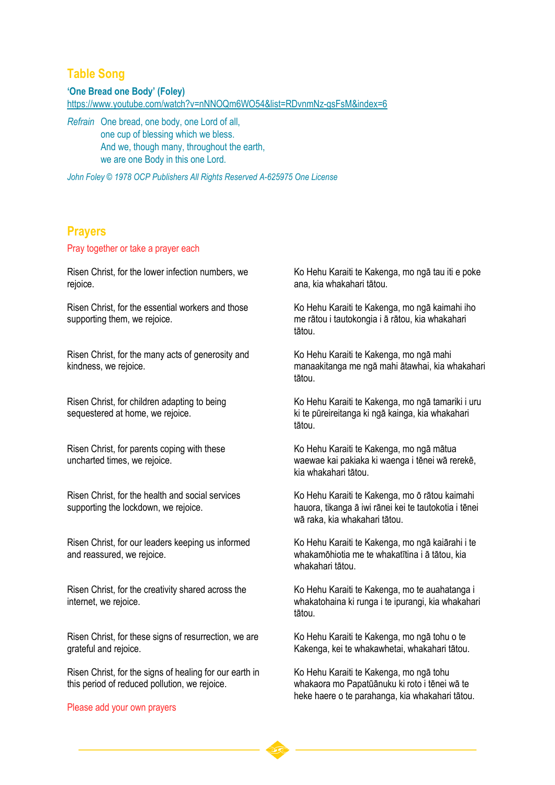### **Table Song**

**'One Bread one Body' (Foley)**

<https://www.youtube.com/watch?v=nNNOQm6WO54&list=RDvnmNz-gsFsM&index=6>

*Refrain* One bread, one body, one Lord of all, one cup of blessing which we bless. And we, though many, throughout the earth, we are one Body in this one Lord.

*John Foley © 1978 OCP Publishers All Rights Reserved A-625975 One License*

### **Prayers**

Pray together or take a prayer each

Risen Christ, for the lower infection numbers, we rejoice.

Risen Christ, for the essential workers and those supporting them, we rejoice.

Risen Christ, for the many acts of generosity and kindness, we rejoice.

Risen Christ, for children adapting to being sequestered at home, we rejoice.

Risen Christ, for parents coping with these uncharted times, we rejoice.

Risen Christ, for the health and social services supporting the lockdown, we rejoice.

Risen Christ, for our leaders keeping us informed and reassured, we rejoice.

Risen Christ, for the creativity shared across the internet, we rejoice.

Risen Christ, for these signs of resurrection, we are grateful and rejoice.

Risen Christ, for the signs of healing for our earth in this period of reduced pollution, we rejoice.

Please add your own prayers

Ko Hehu Karaiti te Kakenga, mo ngā tau iti e poke ana, kia whakahari tātou.

Ko Hehu Karaiti te Kakenga, mo ngā kaimahi iho me rātou i tautokongia i ā rātou, kia whakahari tātou.

Ko Hehu Karaiti te Kakenga, mo ngā mahi manaakitanga me ngā mahi ātawhai, kia whakahari tātou.

Ko Hehu Karaiti te Kakenga, mo ngā tamariki i uru ki te pūreireitanga ki ngā kainga, kia whakahari tātou.

Ko Hehu Karaiti te Kakenga, mo ngā mātua waewae kai pakiaka ki waenga i tēnei wā rerekē, kia whakahari tātou.

Ko Hehu Karaiti te Kakenga, mo ō rātou kaimahi hauora, tikanga ā iwi rānei kei te tautokotia i tēnei wā raka, kia whakahari tātou.

Ko Hehu Karaiti te Kakenga, mo ngā kaiārahi i te whakamōhiotia me te whakatītina i ā tātou, kia whakahari tātou.

Ko Hehu Karaiti te Kakenga, mo te auahatanga i whakatohaina ki runga i te ipurangi, kia whakahari tātou.

Ko Hehu Karaiti te Kakenga, mo ngā tohu o te Kakenga, kei te whakawhetai, whakahari tātou.

Ko Hehu Karaiti te Kakenga, mo ngā tohu whakaora mo Papatūānuku ki roto i tēnei wā te heke haere o te parahanga, kia whakahari tātou.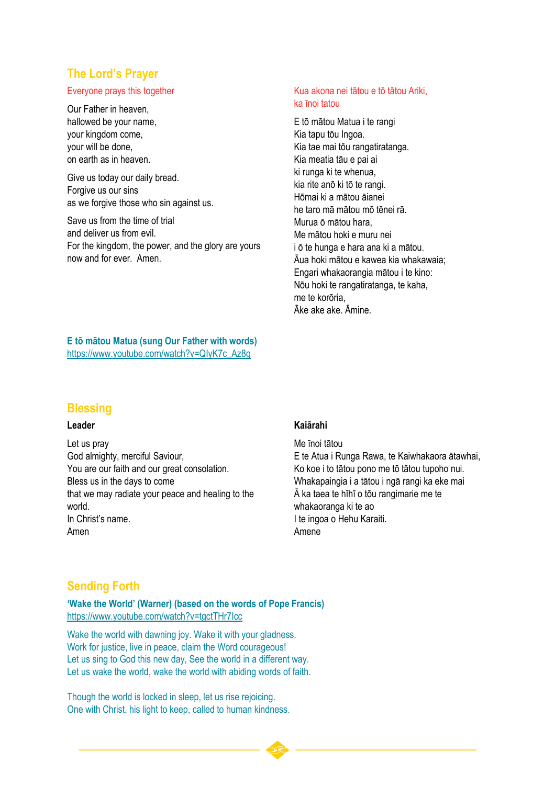# **The Lord's Prayer**

#### Everyone prays this together

Our Father in heaven, hallowed be your name, your kingdom come, your will be done, on earth as in heaven.

Give us today our daily bread. Forgive us our sins as we forgive those who sin against us.

Save us from the time of trial and deliver us from evil. For the kingdom, the power, and the glory are yours now and for ever. Amen.

#### Kua akona nei tātou e tō tātou Ariki, ka īnoi tatou

E tō mātou Matua i te rangi Kia tapu tōu Ingoa. Kia tae mai tōu rangatiratanga. Kia meatia tāu e pai ai ki runga ki te whenua, kia rite anō ki tō te rangi. Hōmai ki a mātou āianei he taro mā mātou mō tēnei rā. Murua ō mātou hara, Me mātou hoki e muru nei i ō te hunga e hara ana ki a mātou. Āua hoki mātou e kawea kia whakawaia; Engari whakaorangia mātou i te kino: Nōu hoki te rangatiratanga, te kaha, me te korōria, Āke ake ake. Āmine.

**E tō mātou Matua (sung Our Father with words)** [https://www.youtube.com/watch?v=QIyK7c\\_Az8g](https://www.youtube.com/watch?v=QIyK7c_Az8g)

### **Blessing**

### **Leader**

Let us pray God almighty, merciful Saviour, You are our faith and our great consolation. Bless us in the days to come that we may radiate your peace and healing to the world. In Christ's name. Amen

#### **Kaiārahi**

Me īnoi tātou E te Atua i Runga Rawa, te Kaiwhakaora ātawhai, Ko koe i to tātou pono me tō tātou tupoho nui. Whakapaingia i a tātou i ngā rangi ka eke mai Ā ka taea te hīhī o tōu rangimarie me te whakaoranga ki te ao I te ingoa o Hehu Karaiti. Amene

### **Sending Forth**

**'Wake the World' (Warner) (based on the words of Pope Francis)** <https://www.youtube.com/watch?v=tgctTHr7Icc>

Wake the world with dawning joy. Wake it with your gladness. Work for justice, live in peace, claim the Word courageous! Let us sing to God this new day, See the world in a different way. Let us wake the world, wake the world with abiding words of faith.

Though the world is locked in sleep, let us rise rejoicing. One with Christ, his light to keep, called to human kindness.